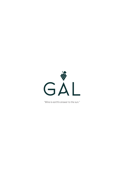

*''Wine is earth's answer to the sun.''*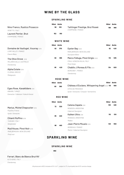# **WINE BY THE GLASS**

### **SPARKLING WINE**

|                                                                                        | 150ml | <b>Bottle</b>     | 150ml                                                                                                         | <b>Bottle</b>        |
|----------------------------------------------------------------------------------------|-------|-------------------|---------------------------------------------------------------------------------------------------------------|----------------------|
| Nino Franco, Rustico Prosecco<br>VENETTO, ITALY                                        | 90    | 510               | Taittinger Prestige, Brut Roseé<br>168<br>CHAMPAGNE, FRANCE                                                   | 990                  |
| <b>Laurent Perrier, Brut</b><br>CHAMPAGNE, FRANCE                                      | 152   | 910               |                                                                                                               |                      |
|                                                                                        |       | <b>WHITE WINE</b> |                                                                                                               |                      |
|                                                                                        | 150ml | <b>Bottle</b>     | <b>150ml</b>                                                                                                  | Bottle               |
| Domaine de Vaufuget, Vouvray 2019<br>LOIRE VALLEY, FRANCE<br>Chenin Blanc              | 82    | 370               | Oyster Bay 2020<br>92<br>MARLBOROUGH, NEW ZEALAND<br>Sauvignon Blanc                                          | 420                  |
| The Olive Grove 2018<br>MCLAREN VALLE, AUSTRALIA<br>Chardonnay                         | 90    | 395               | Marco Felluga, Pinot Grigio 2020<br>110<br>FRIULI-VENEZIA GIULIA, ITALY<br>Pinot Grigio                       | 535                  |
| Alpha Estate 2019<br>FLORINA, GREECE<br>Malagouzia                                     | 95    | 420               | <b>Chablis J. Moreau &amp; Fils 2020</b><br>134<br><b>BURGUNDY, FRANCE</b><br>Chardonnay                      | 620                  |
|                                                                                        |       | <b>ROSE WINE</b>  |                                                                                                               |                      |
|                                                                                        | 150ml | <b>Bottle</b>     | <b>150ml</b>                                                                                                  | Bottle               |
| Egeo Rose, Kavaklidere 2019<br>ANKARA, TURKEY<br>Grenache / Calkarasi / Kalecik Karasi | 80    | 360               | Château d'Esclans, Whispering Angel 2020 115<br>CÔTES DE PROVENCE<br>Syrah / Grenache / Cinsault / Vermentino | 560                  |
|                                                                                        |       | <b>RED WINE</b>   |                                                                                                               |                      |
|                                                                                        | 150ml | <b>Bottle</b>     | 150ml<br>Catena Zapata 2018<br>105                                                                            | <b>Bottle</b><br>490 |
| Marius, Michel Chapoutier 2019<br>PaysD'oc, France                                     | 72    | 320               | MENDOZA, ARGENTINA<br>Cabernet Sauvignon                                                                      |                      |
| Syrah / Grenache<br>Chianti Ruffino 2019<br>TUSCANY, ITALY                             | 85    | 400               | Kaiken Ultra 2018<br>110<br>MENDOZA, ARGENTINA<br>Malbec                                                      | 510                  |
| Sangiovese<br>Mud House, Pinot Noir 2019<br>MARLBOROUGH, NEW ZEALAND<br>Pinot noir     | 98    | 460               | Jean-Pierre Moueix 2016<br>120<br><b>BORDEAUX, FRANCE</b><br>Merlot / Cabernet Sauvignon                      | 550                  |
|                                                                                        |       |                   | <b>SPARKLING WINE</b>                                                                                         |                      |

### **SPARKLING WINE**

**950**

### Ferrari, Blanc de Blancs Brut NV

*ALTO ADIGE, ITALY Chardonnay*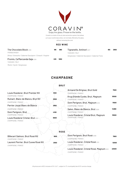

Coravin is a state of the art wine extraction system that allows us to pour world class wines, not normally offered by the glass,

without removing the cork.

### **RED WINE**

| <b>The Chocolate Block 2019</b>                              | 195 | 980  | Tignanello, Antinori 2017                        | 610 | 2950 |
|--------------------------------------------------------------|-----|------|--------------------------------------------------|-----|------|
| FRANSCHHOEK                                                  |     |      | TUSCANY, ITALY                                   |     |      |
| Shiraz / Grenache / Cabernet Sauvignon / Cinsault / Viognier |     |      | Sangiovese / Cabernet Sauvignon / Cabernet Franc |     |      |
| <b>Promis, Ca'Marcanda Gaja 2018</b>                         | 225 | 1050 |                                                  |     |      |
| TUSCANY, ITALY                                               |     |      |                                                  |     |      |
| Merlot / Syrah / Sangiovese                                  |     |      |                                                  |     |      |

## **CHAMPAGNE**

|                                                          | <b>BRUT</b> |                                                                |       |
|----------------------------------------------------------|-------------|----------------------------------------------------------------|-------|
|                                                          |             | Armand De Brignac, Brut Gold                                   | 7500  |
| Louis Roederer, Brut Premier NV                          | 1250        | CHAMPAGNE, FRANCE                                              |       |
| CHAMPAGNE, FRANCE<br>Ruinart, Blanc de Blancs, Brut NV   | 2500        | Krug Grande Cuvée, Brut, Magnum<br>CHAMPAGNE, FRANCE           | 10500 |
| CHAMPAGNE, FRANCE                                        |             | Dom Perignon, Brut, Magnum 2010                                | 11500 |
| Perrier Jouet Blanc de Blancs                            | 2650        | CHAMPAGNE, FRANCE                                              |       |
| CHAMPAGNE, FRANCE<br>Dom Perignon, Brut                  | 4100        | Salon, Blanc de Blancs, Brut 2009<br>CHAMPAGNE, FRANCE         | 14990 |
| CHAMPAGNE, FRANCE                                        |             | Louis Roederer, Cristal Brut, Magnum                           | 15500 |
| Louis Roederer Cristal, Brut 2012<br>CHAMPAGNE, FRANCE   | 6500        | CHAMPAGNE, FRANCE                                              |       |
|                                                          | <b>ROSE</b> |                                                                |       |
| Billecart Salmon, Brut Rosé NV<br>CHAMPAGNE, FRANCE      | 1800        | Dom Perignon, Brut Rosé 2008<br>CHAMPAGNÉ, FRANCE <sup>(</sup> | 7900  |
| Laurent Perrier, Brut Cuvee Rosé NV<br>CHAMPAGNE, FRANCE | 2550        | Louis Roederer, Cristal Rosé 2012<br>CHAMPAGNE, FRANCE         | 12500 |
|                                                          |             | Louis Roederer, Cristal Rosé, Magnum 2012<br>CHAMPAGNE, FRANCE | 22500 |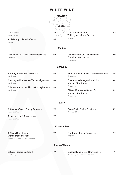|                                                                                            | <b>WHITE WINE</b>                     |                                                                              |      |
|--------------------------------------------------------------------------------------------|---------------------------------------|------------------------------------------------------------------------------|------|
| Trimbach 2017<br>Gewurztraminer<br>Schieferkopf Lieu-dit-Ber 2015<br>Riesling              | <b>FRANCE</b><br>Alsace<br>570<br>900 | Domaine Weinbach,<br>Schlossberg Grand Cru 2019<br>Riesling                  | 1750 |
|                                                                                            | <b>Chablis</b>                        |                                                                              |      |
| Chablis 1er Cru, Jean-Marc Brocard 2020<br>Chardonnay                                      | 1150                                  | <b>Chablis Grand Cru Les Blanchot,</b><br>Domaine Laroche 2019<br>Chardonnay | 1960 |
|                                                                                            | <b>Burgundy</b>                       |                                                                              |      |
| Bourgogne Etienne Sauzet 2017<br>Chardonnay                                                | 1550                                  | Meursault 1er Cru, Hospics de Beaune 2009<br>Chardonnay                      | 2850 |
| Chassagne-Montrachet Vieilles Vignes 2017<br>Chardonnay                                    | 2000                                  | Corton-Charlemagne Grand Cru,<br>Vincent Girardin 2016<br>Chardonnay         | 5950 |
| Puligny-Montrachet, Mischef & Mayhem2015<br>Chardonnay                                     | 2450                                  | Bâtard-Montrachet Grand Cru,<br>Vincent Girardin 2016<br>Chardonnay          | 9900 |
|                                                                                            | Loire                                 |                                                                              |      |
| Château de Tracy, Pouilly-Fumé 2020<br>Sauvignon Blanc                                     | 900                                   | Baron De L, Pouilly Fumé 2009<br>Sauvignon Blanc                             | 2500 |
| Sancerre, Henri Bourgeois 2018<br>Sauvignon Blanc                                          | 1250                                  |                                                                              |      |
|                                                                                            | <b>Rhone Valley</b>                   |                                                                              |      |
| <b>Château Mont-Redon</b><br>Châteauneuf-du-Pape<br>Roussanne / Grenache Blanc / Clairette | 1190                                  | Condrieu, Etienne Guigal 2018<br>Viognier                                    | 1500 |
|                                                                                            | <b>South of France</b>                |                                                                              |      |
| Naturae, Gérard Bertrand<br>Chardonnay                                                     | 450                                   | Cigalus Blanc, Gérard Bertrand 2020<br>Roussanne, Grenache Blanc, Clairette  | 950  |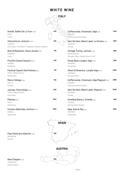# **WHITE WINE**

|                                                                                                          |      | FALY                                                                                               |      |
|----------------------------------------------------------------------------------------------------------|------|----------------------------------------------------------------------------------------------------|------|
| Inzolia, Sallier De La Tour 2020<br>SICILY<br>Inzolia                                                    | 450  | Ca'Marcanda, Vistamare, Gaja 2019<br>IUSCANY<br>Fiano/Vermentino/Viognier                          | 1450 |
| Villa Antinori, Antinori 2020<br>TUSCANY<br>Pinot Grigio / Pinot Blanc / Trebbiano / Malvasia / Riesling | 480  | Gavi Dei Gavi, Black Label, La Scolca 2020<br>PIEDMONT<br>Cortese                                  | 1500 |
| Beni Di Batasiolo, Roero Arneis 2020<br>PIEDMONT<br>Arneis                                               | 510  | Vintage Tunina, Jerman 2018<br><b>VENEZIA GIULIA</b><br>Sauvignon Blanc / Ribolla Gialla / Picolit | 1900 |
| Prà Otto Soave Classico 2020<br>VERONA<br>Garganega                                                      | 570  | Rossj-Bass Langhe, Gaja 2019<br>PIEDMONT<br>Chardonnay                                             | 2100 |
| Fantinel Vigneti Sant'Helena2020<br>FRIULI-VENEZIA GIULIA<br>Ribolla Gialla                              | 710  | Alteni Di Brassica, Langhe Gaja 2019<br>PIFDMONT<br>Sauvignon Blanc                                | 2300 |
| Marco Felluga 2020<br><b>COLLIO</b><br>Friulano                                                          | 750  | Ca'Marcanda, Vistamare, Gaja Magnum 2019<br>TUSCANY<br>Fiano/Vermentino/Viognier                   | 2990 |
| Jerman, Pinot Grigio 2020<br>FRIULI-VENEZIA GIULIA<br>Pinot Grigio                                       | 1150 | Gavi Dei Gavi, Black Label, Magnum 2019<br>PIFDMONT<br>Cortese                                     | 3000 |
| Planeta <sub>2020</sub><br>SICILY<br>Chardonnay                                                          | 1250 | Ornellaia Bianco, Ornellia 2018<br>TUSCANY<br>Sauvinon Blanc/Viognier                              | 4150 |
| Cervaro della Sala, Antinori 2019<br><b>UMBRIA</b><br>Chardonnay                                         | 1350 | Gaja, Gaia & Rey 2019<br>PIEDMONT<br>Chardonnay                                                    | 6100 |



*RIAS BAIXAS* Pazo Señorans Albariño 2020 **Nobel Españo XVII** y <sup>780</sup> *Albariño*

### **New Chapter 2020** 2020

*TRAISENTAL Grüner Veltliner*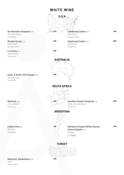# **WHITE WINE**



*TOKAT Narince - Emir*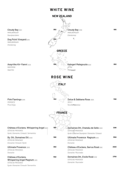# **WHITE WINE**



*Syrah / Grenache / Cinsault / Vermentino*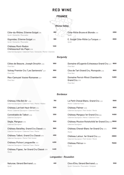

## *Syrah / Grenache / Mourvedre*

## *Syrah / Grenache / Mourvedre*

### Château Mont-Redon

Châteauneuf-du-Pape 2018

*Cabernet Sauvignon / Cabernet Franc / Grenache / Merlot / Clairette*

### *Burgundy*

**1450**

| Côtes de Beaune, Joseph Drouhin 2018<br>Pinot Noir    | 1050 | Domaine d'Eugenie Echezeaux Grand Cru 2017 8500<br>Pinot Noir   |       |
|-------------------------------------------------------|------|-----------------------------------------------------------------|-------|
| Volnay Premier Cru "Les Santenots" 2017<br>Pinot Noir | 1850 | Clos de Tart Grand Cru, Monopole 2018<br>Pinot Noir             | 9900  |
| Meo-Camuzet Vosne-Romanee 2017<br>Pinot Noir          | 4500 | Domaine Perrot-Minot Chambertin<br>Grand Cru 2015<br>Pinot Noir | 14900 |

### *Bordeaux*

| Château Villa Bel Air 2016<br>Cabernet Sauvignon / Cabernet Franc / Merlot / Malbec      | 750  | Le Petit Cheval Blanc, Grand Cru 2011<br>Merlot / Cabernet Franc                   | 5500  |
|------------------------------------------------------------------------------------------|------|------------------------------------------------------------------------------------|-------|
| Château Larrivet Haut-Brion 2014<br>Merlot / Cabernet Sauvignon / Cabernet Franc         | 1200 | Château Palmer 2006<br>Cabernet Sauvignon / Petit Verdot / Merlot                  | 9500  |
| Connétable de Talbot 2018<br>Cabernet Sauvignon                                          | 1250 | Château Margaux 1er Grand Cru 1999<br>Cabernet Sauvignon / Merlot / Cabernet Franc | 14500 |
| Ségla, Margaux 2015<br>Cabernet Sauvignon                                                | 1550 | Château Mouton Rotshchild 1er Grand Cru2006 18500<br>Cabernet Sauvignon            |       |
| Château Batailley, Grand Cru Classé 2015<br>Cabernet Sauvignon / Cabernet Franc / Merlot | 1900 | Château Cheval-Blanc 1er Grand Cru 2014<br>Merlot                                  | 21000 |
| Château Talbot, Grand Cru Classé 2015<br>Cabernet Sauvignon / Merlot/ Petit Verdot       | 4100 | Château Latour, 1er Grand Cru 2005<br>Cabernet Sauvignon / Petit Verdot / Merlot   | 29900 |
| Château Pichon Longueville 2012<br>Cabernet Sauvignon / Cabernet Franc / Merlot          | 4200 | Château Pétrus 1994<br>Merlot                                                      | 75000 |
| Château Figeac, 1er Grand Cru Classé 2018                                                | 4400 |                                                                                    |       |

### *Languedoc - Roussilon*

*Merlot*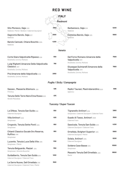|                                                                                                             |      | <b>HTALY</b><br>Piedmont                                                                 |       |
|-------------------------------------------------------------------------------------------------------------|------|------------------------------------------------------------------------------------------|-------|
| Sito Moresco, Gaja 2019<br>Nebbiolo / Merlot / Barbera / Cabernet Sauvignon                                 | 1350 | Barbaresco, Gaja 2018<br>Nebbiolo                                                        | 5200  |
| Dagromis Barolo, Gaja 2017<br>Nebbiolo                                                                      | 2500 | <b>Conteisa Barolo, Gaja</b> 2015<br>Nebbiolo                                            | 5600  |
| Barolo Cannubi, Chiara Boschis 2005<br>Nebbiolo                                                             | 4200 |                                                                                          |       |
|                                                                                                             |      | Veneto                                                                                   |       |
| Corte Giara Valpolicella Ripasso 2018<br>Rondinella, Corvina, Molinara                                      | 550  | Dal Forno Romano Amarone della<br>Valpolicella 2013                                      | 7500  |
| Luigi Righetti Amarone Della Valpolicella<br>Classico 2017<br>Rondinella, Corvina, Molinara                 | 790  | Rondinella, Corvina, Molinara<br>Giuseppe Quintarelli Amarone della<br>Valpolicella 2013 | 7900  |
| Prà Amarone della Valpolicella 2018<br>Rondinella, Corvina, Molinara                                        | 2050 | Rondinella, Corvina, Molinara                                                            |       |
|                                                                                                             |      | Puglia / Sicily / Campagnia                                                              |       |
| Sasseo, Masseria Altemura 2018<br>Primitivo                                                                 | 495  | Radici Taurasi, Mastroberardino 2020<br>Aglianico                                        | 1095  |
| Tenuta Delle Terre Nere Etna Rosso 2020<br>Nerello Mascalese                                                | 675  |                                                                                          |       |
|                                                                                                             |      | <b>Tuscany / Super Tuscan</b>                                                            |       |
| Le Difese, Tenuta San Guido 2018<br>Cabernet Sauvignon                                                      | 550  | Tignanello Antinori 2018<br>Sangiovese / Cabernet Sauvignon / Cabernet Franc             | 2950  |
| Villa Antinori 2018<br>Sangiovese                                                                           | 625  | Guado Al Tasso, Antinori 2008<br>Cabernet Franc                                          | 3500  |
| Crognolo, Tenuta Sette Ponti 2016<br>Sangiovese                                                             | 650  | Sassicaia, Tenuta San Guido 2013<br>Cabernet Sauvignon / Cabernet Franc                  | 4200  |
| Chianti Classico Ducale Oro Reserva,<br>Ruffino 2018                                                        | 950  | Ornellaia, Bolgheri Superior 2015<br>Cabernet Sauvignon / Merlot                         | 5900  |
| Sangiovese<br>Lucente, Tenuta Luce Della Vite 2016                                                          | 1130 | Solaia, Antinori 2015<br>Cabernet Sauvignon                                              | 6200  |
| Sangiovese / Merlot<br>Tenuta Belguardo, Mazzei 2015                                                        | 1150 | Soldera Case Basse 2015<br>Sangiovese                                                    | 10500 |
| Sangiovese / Alicante Bouschet<br>Guidalberto, Tenuta San Guido 2018<br>Cabernet Sauvignon / Cabernet Franc | 1200 | Masseto Tenuta Dell Ornellaia 2018<br>Merlot                                             | 18500 |
| Le Serre Nuove, Dell Ornellaia 2018<br>Cabernet Sauvignon / Cabernet Franc / Merlot                         | 1500 |                                                                                          |       |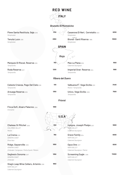|                                                                                          |      | <b>RED WINE</b>                                                  |       |
|------------------------------------------------------------------------------------------|------|------------------------------------------------------------------|-------|
|                                                                                          |      | <b>FTALY</b>                                                     |       |
|                                                                                          |      | <b>Brunello Di Montalcino</b>                                    |       |
| Pieve Santa Restituta, Gaja 2016<br>Sangiovese                                           | 1750 | Casanova Di Neri, Cerretalto 2012<br>Sangiovese                  | 8250  |
| Tenuta Luce 2016<br>Sangiovese                                                           | 2950 | © Vemaps.com<br>Biondi-Santi Riserva 1995<br>Sangiovese          | 15500 |
|                                                                                          |      | <b>SPAIN</b>                                                     |       |
|                                                                                          |      | Rioja<br>$\varphi$<br>ó                                          |       |
| Marques Di Riscal, Reserva 2016<br>Tempranillo                                           | 750  | Mas La Plana 2018<br>Cabernet Sauvignon                          | 1550  |
| Roda Reserva 2017<br>Tempranillo                                                         | 1200 | Imperial Gran Reserva 2014<br>Tempranillo                        | 1690  |
|                                                                                          |      | <b>Ribera del Duero</b>                                          |       |
| Celeste Crianza, Pago Del Cielo 2018<br>Tempranillo                                      | 510  | Valbuena 5°, Vega Sicilia 2013<br>Merlot / Tempranillo           | 3400  |
| Arzuaga Reserva 2016<br>Tempranillo                                                      | 1350 | Unico, Vega Sicilia 2005<br>Tempranillo                          | 7500  |
|                                                                                          |      | <b>Priorat</b>                                                   |       |
| Finca Dofi, Alvaro Palacios 2018<br>Grenache                                             | 1990 |                                                                  |       |
|                                                                                          |      | U.S.A                                                            |       |
| Chateau St Mitchel 2018<br>COLUMBIA VALLEY<br>Merlot                                     | 550  | Insigna, Joseph Phelps 2017<br>NAPA VALLEY<br>Cabernet Sauvignon | 5900  |
| La Crema 2018<br>SONOMA COAST<br>Pinot Noir                                              | 760  | Grace Family 2014<br>NAPA VALLEY<br>Cabernet Sauvignon           | 6000  |
| Ridge, Gayserville 2019<br>SONOMA COAST<br>Zinfandel / Carignane / Petite Syrah / Mataro | 1050 | Opus One 2017<br>NAPA VALLEY<br>Cabernet Sauvignon / Merlot      | 8200  |
| Seghesio Sonoma 2017<br>SONOMA COAST<br>Zinfandel                                        | 1350 | Screaming Eagle 2016<br>NAPA VALLEY<br>Cabernet Sauvignon        | 72000 |
| Stag's Leap Wine Cellars, Artemis 2018<br>NAPA VALLEY                                    | 1650 |                                                                  |       |

*Cabernet Sauvignon*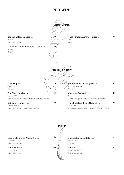

Lapostolle, Cuvee Alexandre **650** 2020

*APALTA VALLEY Cabernet Sauvignon*

*PUENTE ALTO* **Don Melchor 2014** 2500 *Cabernet Sauvignon*



| Clos Apalta, Lapostolle 2017 | 2840 |
|------------------------------|------|
| COLCHAGUA VALLEY             |      |
| Pinot Noir                   |      |
| Seña 2019                    | 3280 |

*ACONCAGUA VALLEY Cabernet Sauvignon*